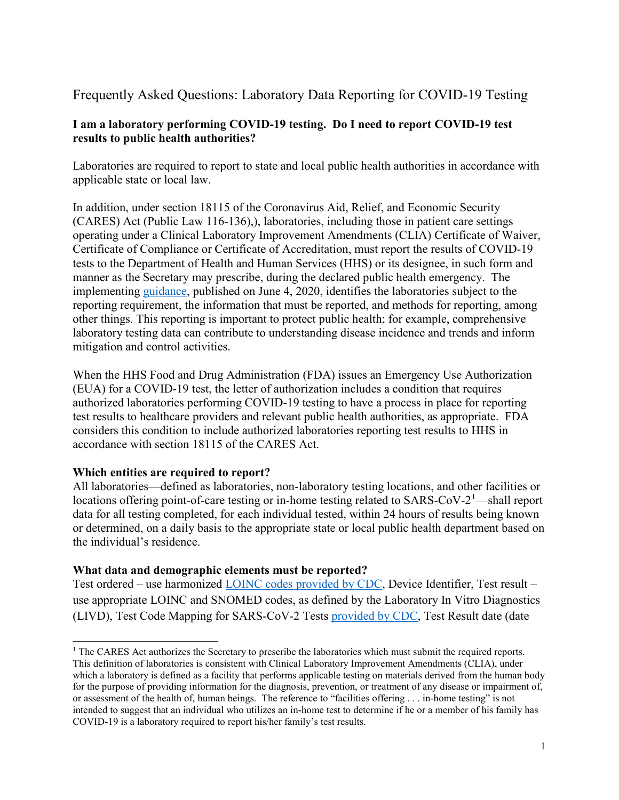# Frequently Asked Questions: Laboratory Data Reporting for COVID-19 Testing

## **I am a laboratory performing COVID-19 testing. Do I need to report COVID-19 test results to public health authorities?**

Laboratories are required to report to state and local public health authorities in accordance with applicable state or local law.

In addition, under section 18115 of the Coronavirus Aid, Relief, and Economic Security (CARES) Act (Public Law 116-136),), laboratories, including those in patient care settings operating under a Clinical Laboratory Improvement Amendments (CLIA) Certificate of Waiver, Certificate of Compliance or Certificate of Accreditation, must report the results of COVID-19 tests to the Department of Health and Human Services (HHS) or its designee, in such form and manner as the Secretary may prescribe, during the declared public health emergency. The implementing [guidance,](https://www.hhs.gov/sites/default/files/covid-19-laboratory-data-reporting-guidance.pdf) published on June 4, 2020, identifies the laboratories subject to the reporting requirement, the information that must be reported, and methods for reporting, among other things. This reporting is important to protect public health; for example, comprehensive laboratory testing data can contribute to understanding disease incidence and trends and inform mitigation and control activities.

When the HHS Food and Drug Administration (FDA) issues an Emergency Use Authorization (EUA) for a COVID-19 test, the letter of authorization includes a condition that requires authorized laboratories performing COVID-19 testing to have a process in place for reporting test results to healthcare providers and relevant public health authorities, as appropriate. FDA considers this condition to include authorized laboratories reporting test results to HHS in accordance with section 18115 of the CARES Act.

### **Which entities are required to report?**

All laboratories—defined as laboratories, non-laboratory testing locations, and other facilities or locations offering point-of-care testing or in-home testing related to SARS-CoV-2<sup>[1](#page-0-0)</sup>—shall report data for all testing completed, for each individual tested, within 24 hours of results being known or determined, on a daily basis to the appropriate state or local public health department based on the individual's residence.

### **What data and demographic elements must be reported?**

Test ordered – use harmonized [LOINC codes provided by CDC,](https://www.cdc.gov/csels/dls/sars-cov-2-livd-codes.html) Device Identifier, Test result – use appropriate LOINC and SNOMED codes, as defined by the Laboratory In Vitro Diagnostics (LIVD), Test Code Mapping for SARS-CoV-2 Tests [provided by CDC,](https://www.cdc.gov/csels/dls/sars-cov-2-livd-codes.html) Test Result date (date

<span id="page-0-0"></span><sup>&</sup>lt;sup>1</sup> The CARES Act authorizes the Secretary to prescribe the laboratories which must submit the required reports. This definition of laboratories is consistent with Clinical Laboratory Improvement Amendments (CLIA), under which a laboratory is defined as a facility that performs applicable testing on materials derived from the human body for the purpose of providing information for the diagnosis, prevention, or treatment of any disease or impairment of, or assessment of the health of, human beings. The reference to "facilities offering . . . in-home testing" is not intended to suggest that an individual who utilizes an in-home test to determine if he or a member of his family has COVID-19 is a laboratory required to report his/her family's test results.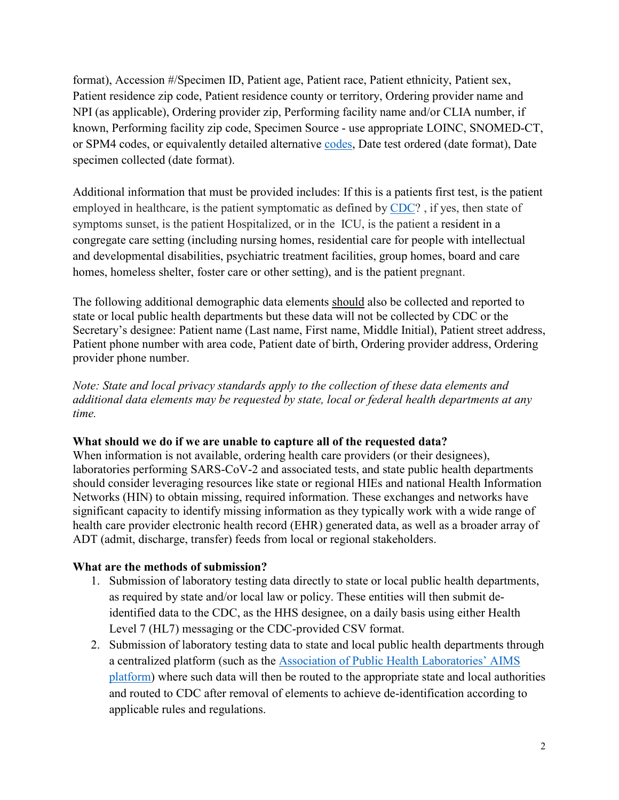format), Accession #/Specimen ID, Patient age, Patient race, Patient ethnicity, Patient sex, Patient residence zip code, Patient residence county or territory, Ordering provider name and NPI (as applicable), Ordering provider zip, Performing facility name and/or CLIA number, if known, Performing facility zip code, Specimen Source - use appropriate LOINC, SNOMED-CT, or SPM4 codes, or equivalently detailed alternative [codes,](https://www.cdc.gov/csels/dls/sars-cov-2-livd-codes.html) Date test ordered (date format), Date specimen collected (date format).

Additional information that must be provided includes: If this is a patients first test, is the patient employed in healthcare, is the patient symptomatic as defined by [CDC?](https://www.cdc.gov/coronavirus/2019-ncov/symptoms-testing/symptoms.html?CDC_AA_refVal=https%3A%2F%2Fwww.cdc.gov%2Fcoronavirus%2F2019-ncov%2Fabout%2Fsymptoms.html) , if yes, then state of symptoms sunset, is the patient Hospitalized, or in the ICU, is the patient a resident in a congregate care setting (including nursing homes, residential care for people with intellectual and developmental disabilities, psychiatric treatment facilities, group homes, board and care homes, homeless shelter, foster care or other setting), and is the patient pregnant.

The following additional demographic data elements should also be collected and reported to state or local public health departments but these data will not be collected by CDC or the Secretary's designee: Patient name (Last name, First name, Middle Initial), Patient street address, Patient phone number with area code, Patient date of birth, Ordering provider address, Ordering provider phone number.

*Note: State and local privacy standards apply to the collection of these data elements and additional data elements may be requested by state, local or federal health departments at any time.*

### **What should we do if we are unable to capture all of the requested data?**

When information is not available, ordering health care providers (or their designees), laboratories performing SARS-CoV-2 and associated tests, and state public health departments should consider leveraging resources like state or regional HIEs and national Health Information Networks (HIN) to obtain missing, required information. These exchanges and networks have significant capacity to identify missing information as they typically work with a wide range of health care provider electronic health record (EHR) generated data, as well as a broader array of ADT (admit, discharge, transfer) feeds from local or regional stakeholders.

## **What are the methods of submission?**

- 1. Submission of laboratory testing data directly to state or local public health departments, as required by state and/or local law or policy. These entities will then submit deidentified data to the CDC, as the HHS designee, on a daily basis using either Health Level 7 (HL7) messaging or the CDC-provided CSV format.
- 2. Submission of laboratory testing data to state and local public health departments through a centralized platform (such as the [Association of Public Health Laboratories' AIMS](https://www.aphl.org/programs/preparedness/Crisis-Management/COVID-19-Response/Pages/default.aspx)  [platform\)](https://www.aphl.org/programs/preparedness/Crisis-Management/COVID-19-Response/Pages/default.aspx) where such data will then be routed to the appropriate state and local authorities and routed to CDC after removal of elements to achieve de-identification according to applicable rules and regulations.